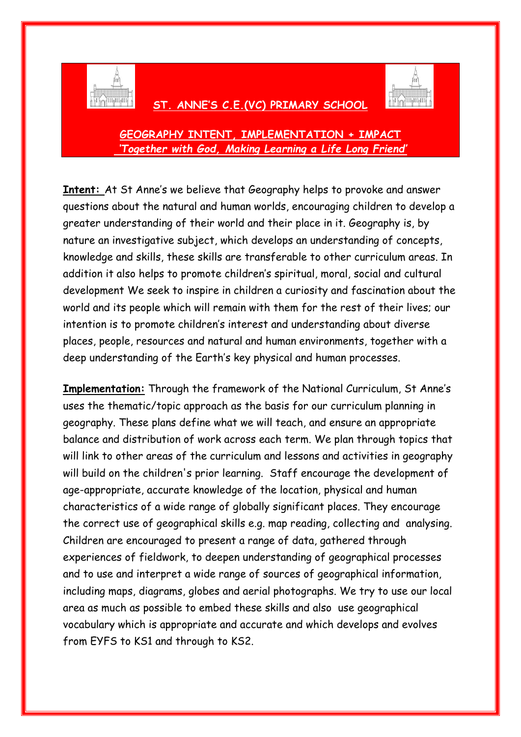

## **ST. ANNE'S C.E.(VC) PRIMARY SCHOOL**



## **GEOGRAPHY INTENT, IMPLEMENTATION + IMPACT** *'Together with God, Making Learning a Life Long Friend'*

**Intent:** At St Anne's we believe that Geography helps to provoke and answer questions about the natural and human worlds, encouraging children to develop a greater understanding of their world and their place in it. Geography is, by nature an investigative subject, which develops an understanding of concepts, knowledge and skills, these skills are transferable to other curriculum areas. In addition it also helps to promote children's spiritual, moral, social and cultural development We seek to inspire in children a curiosity and fascination about the world and its people which will remain with them for the rest of their lives; our intention is to promote children's interest and understanding about diverse places, people, resources and natural and human environments, together with a deep understanding of the Earth's key physical and human processes.

**Implementation:** Through the framework of the National Curriculum, St Anne's uses the thematic/topic approach as the basis for our curriculum planning in geography. These plans define what we will teach, and ensure an appropriate balance and distribution of work across each term. We plan through topics that will link to other areas of the curriculum and lessons and activities in geography will build on the children's prior learning. Staff encourage the development of age-appropriate, accurate knowledge of the location, physical and human characteristics of a wide range of globally significant places. They encourage the correct use of geographical skills e.g. map reading, collecting and analysing. Children are encouraged to present a range of data, gathered through experiences of fieldwork, to deepen understanding of geographical processes and to use and interpret a wide range of sources of geographical information, including maps, diagrams, globes and aerial photographs. We try to use our local area as much as possible to embed these skills and also use geographical vocabulary which is appropriate and accurate and which develops and evolves from EYFS to KS1 and through to KS2.